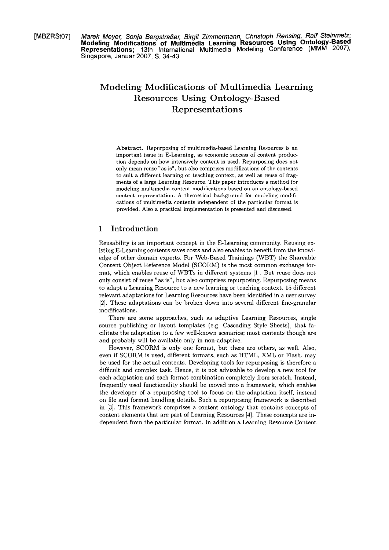[MBZRSt07] Marek Meyer, Sonja Bergsträßer, Birgit Zimmermann, Christoph Rensing, Ralf Steinmetz; **Modeling Modifications of Multimedia Learning Resources Using Ontology-Ba~ed Representations;** 13th International Multimedia Modeling Conference (MMM **20W,**  Singapore, Januar 2007, S. 34-43.

# Modeling Modifications of Multimedia Learning Resources Using Ontology-Based **Representations**

Abstract. Repurposing of multimedia-based Learning Resources is an important issue in E-Learning, as economic success of content production depends on how intensively content is used. Repurposing does not only mean reuse "as is", but also comprises modifications of the contents to suit a different learning or teaching context, as well as reuse of fragments of a large Learning Resource. This paper introduces a method for modeling multimedia content modifications based on an ontology-based content representation. **A** theoretical background for modeling modifications of multirnedia contents independent of the particular format is provided. Also a practical implementation is presented and discussed.

### **1 Introduction**

Reusability is an important concept in the E-Learning community. Reusing existing E-Learning contents saves costs and also enables to benefit from the knowledge of other domain experts. For Web-Based Trainings (WBT) the Shareable Content Object Reference Model (SCORM) is the most common exchange format, which enables reuse of WBTs in different systems [I]. But reuse does not only consist of reuse "as is", but also comprises repurposing. Repurposing means to adapt a Learning Resource to a new learning or teaching context. 15 different relevant adaptations for Learning Resources have been identified in a user survey [2]. These adaptations can be broken down into several different fine-granular modifications.

There are some approaches, such as adaptive Learning Resources, single source publishing or layout templates (e.g. Cascading Style Sheets), that facilitate the adaptation to a few well-known scenarios; most contents though are and probably will be available only in non-adaptive.

However, SCORM is only one format, but there are others, **ac** well. Also, even if SCORM is used, different formats, such as HTML, XML or Flash, may be used for the actual contents. Developing tools for repurposing is therefore a difficult and complex task. Hence, it is not advisable to develop a new tool for each adaptation and each format combination completely from scratch. Instead, frequently used functionality should be moved into a framework, which enables the developer of a repurposing tool to focus on the adaptation itself, instead on file and format handling details. Such a repurposing framework is described in **[3].** This framework comprises a content ontology that contains concepts of content elements that are part of Learning Resources **[4].** These concepts are independent from the particular format. In addition a Learning Resource Content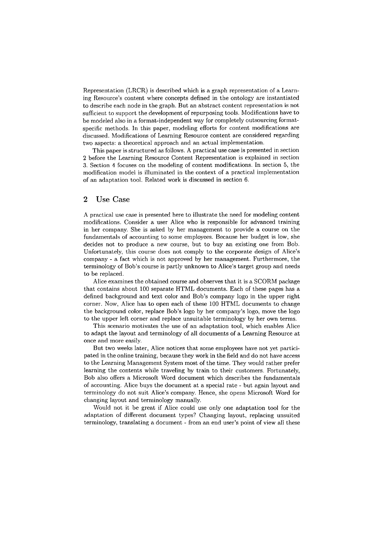Representation (LRCR) is described which is a graph representation of a Learning Resource's content where concepts defined in the ontology are instantiated to descrihe each node in the graph. But an abstract content reprcsentation is not sufficient to support the development of repurposing tools. Modifications have to be modeled also in a format-independent way for completely outsourcing formatspecific methods. In this paper, modeling efforts for content modifications are discussed. Modifications of Learning Resource content are considered regarding two aspects: a theoretical approach and an actual implementation.

This paper is structured as follows. A practical use case is presented in section 2 before the Learning Resource Content Representation is explained in section **3.** Section 4 focuses on tlie modeling of content modifications. In section 5, the modification model is illuminated in the context of a practical implementation of an adaptation tool. Related work is discussed in section 6.

### 2 Use Case

A practical use case is presented here to illustrate the need for modeling content modifications. Consider a user Alice who is responsible for advanced training in her company. She is asked by her management to provide a course on the fundamentals of accounting to some employees. Because her budget is low, she decides not to produce a new course, but to buy an existing one from Bob. Unfortunately, this course does not comply to the corporate design of Alice's company - a fact which is not approved by her management. Furthermore, the terminology of Bob's course is partly unknown to Alice's target group and needs to be replaced.

Alice examines the obtained course and observes that it is a SCORM package that contains about 100 separate HTML documents. Each of these pages has a defined background and text color and Bob's company logo in the upper right corner. Now, Alice has to Open each of these 100 HTML documents to change tlie background color, replace Bob's logo by her company's logo, move the logo to the upper left corner and replace unsuitable terminology by her own terms.

This scenario motivates the use of an adaptation tool, which enables Alice to adapt the layout and terminology of all documents of a Learning Resource at once and more easily.

But two weeks later, Alice notices that some employees have not yet participated in the online training, because they work in the field and do not have access to the Learning Management System most of the time. They would rather prefer learning the contents while traveling by train to their customers. Fortunately, Bob also offers a Microsoft Word document which describes the fundamentals of accounting. Alice buys the document at a special rate - but again layout and terminology do not suit Alice's company. Hence, she Opens Microsoft Word for changing layout and terminology manually.

Would not it be great if Alice could use only one adaptation tool for the adaptation of different document types? Changing layout, replacing unsuited terminology, translating a document - from an end user's point of view all these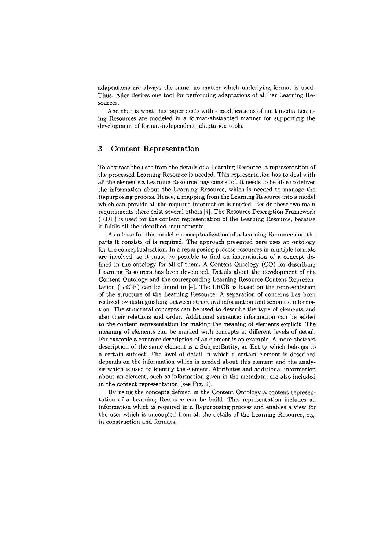adaptations are always the same, no matter which underlying format is used. Thus, Alice desires one tool for perforiuing adaptations of all her Learning Resources.

And that is what this paper deals with - modifications of multimedia Learning Resources are modeled in a format-abstracted manner for supporting the development of format-independent adaptation tools.

### **3** Content Representation

To abstract the user from the details of a Learning Resource, a representation of the processed Learning Resource is needed. This representation has to deal with all the elements a Learning Resource may consist of. It needs to be able to deliver the information about the Learning Resource, which is needed to manage the Repurposing process. Hence, a mapping from the Learning Resource into a model which can provide all the required information is needed. Beside these two main requirements there exist several others (41. The Resource Description Framework (RDF) is used for the content representation of the Learning Resource, because it fulfils all the identified requirements.

As a base for this model a conceptualization of a Learning Resource and the parts it consists of is required. The approach presented here uses an ontology for the conceptualization. In a repurposing process resources in multiple formats are involved, so it must be possible to find an instantiation of a concept defined in the ontology for all of them. A Content Ontology (CO) for describing Learning Resources has been developed. Details about the development of the Content Ontology and the corresponding Learning Resource Content Representation (LRCR) can be found in **[4].** The LRCR is based on the representation of the structure of the Learning Resource. A separation of concerns has been realized by distinguishing between structural information and semantic information. The structural concepts can be used to describe the type of elements and also their relations and order. Additional semantic information can be added to the content representation for making the meaning of elements explicit. The meaning of elements can be marked with concepts at different levels of detail. For example a concrete description of an element is an example. A more abstract description of the Same element is a SubjectEntity, an Entity which belongs to a certain subject. The level of detail in which a certain element is described depends on the information which is needed about this element and the analysis which is used to identify the element. Attributes and additional information about an element, such as information given in the metadata, are also included in the content representation (see Fig. 1).

By using the concepts defined in the Content Ontology a content representation of a Learning Resource can be build. This representation includes all information which is required in a Repurposing process and enables a view for the user which is uncoupled from all the details of the Learning Resource, e.g. in construction and formats.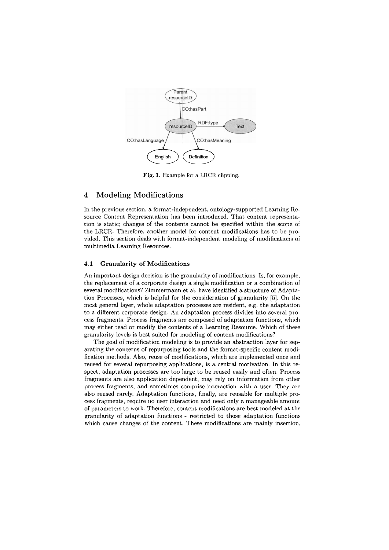

**Fig.** 1. Example for a LRCR clipping.

### **4 Modeling Modifications**

In the previous section, a format-independent, ontology-supported Learning Resource Content Representation has been introduced. That content representation is static; changes of the contents cannot be specified within the scope of the LRCR. Therefore, another model for content modifications has to be provided. This section deals with format-independent modeling of modifications of inultimedia Learning Resources.

#### **4.1 Granularity of Modifications**

An important design decision is the granularity of modifications. Is, for example, the replacement of a corporate design a single modification or a combination of several modifications? Zimmermann et al. have identified a structure of Adaptation Processes, wliich is helpful for the consideration of granularity *[5].* On the most general layer, whole adaptation processes are resident, e.g. the adaptation to a different corporate design. An adaptation process divides into several process fragments. Process fragments are composed of adaptation functions, which may either read or modify the contents of a Learning Resource. Which of these granularity levels is best suited for modeling of content modifications?

The goal of modification modeling is to provide an abstraction layer for separating the concerns of repurposing tools and the format-specific content modification methods. Also, reuse of modifications, which are implemented once and reused for several repurposing applications, is a central motivation. In this respect, adaptation processes are too large to be reused easily and often. Process fragments are also application dependent, may rely on information from other process fragments, and sometimes comprise interaction with a user. They are also reused rarely. Adaptation functions, finally, are reusable for multiple process fragments, require no user interaction and need only a manageable amount of parameters to work. Therefore, content inodifications are best modeled at the granularity of adaptation functions - restricted to those adaptation functions which cause changes of the content. These modifications are mainly insertion,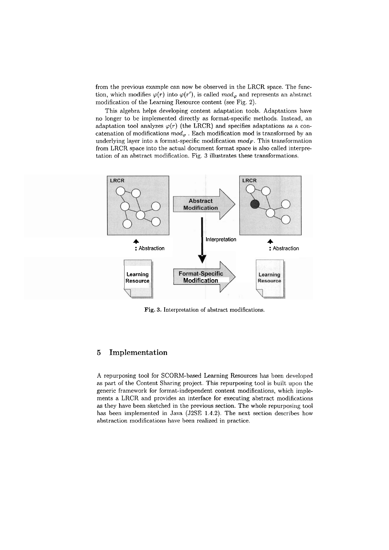from the previous example can now be observed in the LRCR space. The function, which modifies  $\varphi(r)$  into  $\varphi(r')$ , is called mod<sub> $\varphi$ </sub> and represents an abstract modification of the Learning Resource content (see Fig. 2).

This algehra helps developing content adaptation tools. Adaptations have no longer to be implemented directly as format-specific methods. Instead, an adaptation tool analyzes  $\varphi(r)$  (the LRCR) and specifies adaptations as a concatenation of modifications  $mod_{\varphi}$ . Each modification mod is transformed by an underlying layer into a format-specific modification  $mod_F$ . This transformation from LRCR space into the actual document format space is also called interpretation of an abstract modification. Fig. 3 illustrates these transformations.



**Fig.** 3. Interpretation of abstract modifications.

### **5 Implementation**

A repurposing tool for SCORM-based Learning Resources has been developed as part of the Content Sharing project. This repurposing tool is built upon the generic framework for format-independent content modifications, which implements a LRCR and provides an interface for executing abstract modifications as they have been sketched in the previous section. The whole repurposing tool has been implemented in Java (J2SE 1.4.2). The next section describes how abstraction modifications have been realized in practice.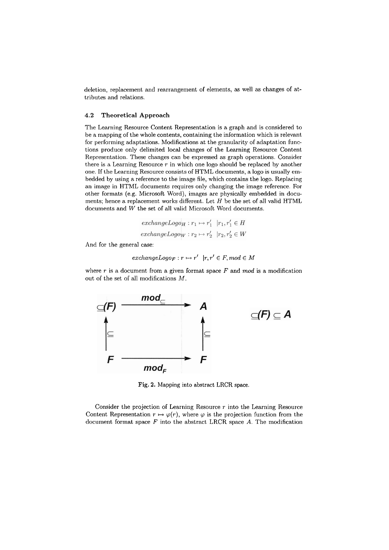deletion, replacement and rearrangement of elements, as well as changes of attributes and relations.

#### **4.2 Theoretical Approach**

The Learning Resource Content Representation is a graph and is considered to be a mapping of the wliole contents, containing the information which is relevant for performing adaptations. Modifications at the granularity of adaptation functions produce only delimited local changes of the Learning Resource Content Representation. These changes can be expressed as graph operations. Consider there is a Learning Resource  $r$  in which one logo should be replaced by another one. If the Learning Resource consists of HTML documents, a logo is usually embedded by using a reference to the image file, which contains the logo. Replacing an image in HTML documents requires only changing the image reference. For other formats (e.g. Microsoft Word), images are physically embedded in documents; hence a replacement works different. Let  $H$  be the set of all valid HTML documents and  $W$  the set of all valid Microsoft Word documents.

$$
exchangeLogo_H : r_1 \mapsto r'_1 \ |r_1, r'_1 \in H
$$

$$
exchangeLogo_W : r_2 \mapsto r'_2 \ |r_2, r'_2 \in W
$$

And for the general case:

 $\operatorname{exchangeLog}$   $\operatorname{c}$   $r \mapsto r' \mid r, r' \in F, \operatorname{mod} \in M$ 

where  $r$  is a document from a given format space  $F$  and  $mod$  is a modification out of the set of all modifications M.



**Fig.** 2. Mapping into abstract LRCR space.

Consider the projection of Learning Resource *r* into the Learning Resource Content Representation  $r \mapsto \varphi(r)$ , where  $\varphi$  is the projection function from the document format space  $F$  into the abstract LRCR space  $A$ . The modification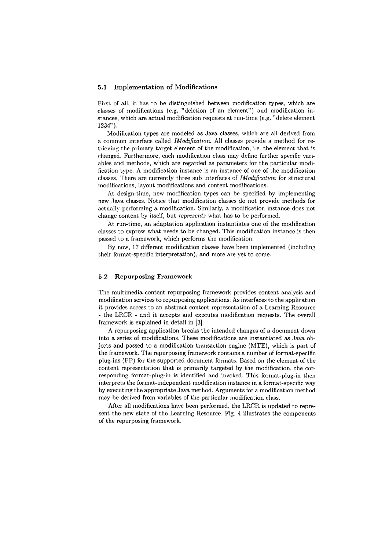#### 5.1 Implementation of Modifications

First of all, it has to be distinguished between rnodification types, which are classes of modifications (e.g. "deletion of an element") and modification instances, which are actual modification requests at run-time (e.g. "delete element 1234").

Modification types are rnodeled as Java classes, which are all derived from a cornmon interface called *IModzfication.* All classes provide a method for retrieving the prirnary target elernent of the modification, i.e. the elernent that is changed. Furthermore, each modification class may define further specific variables and methods, which are regarded as parameters for the particular modification type. **A** modification instance is an instance of one of the modification classes. There are currently three sub interfaces of *IModzfication* for structural modifications, layout modifications and content modifications.

At design-time, new modification types can be specified by implementing new Java classes. Notice that modification classes do not provide methods for actually performing a rnodification. Sirnilarly, a rnodification instance does not change content by itself, but represents what has to be performed.

At run-time, an adaptation application instantiates one of the modification classes to express what needs to be changed. This modification instance is then passed to a framework, which performs the modification.

By now, 17 different modification classes have been implemented (including their format-specific interpretation), and more are yet to come.

#### 5.2 Repurposing Framework

The multimedia content repurposing framework provides content analysis and modification services to repurposing applications. As interfaces to the application it provides access to an abstract content representation of a Learning Resource - the LRCR - and it accepts and executes modification requests. The overall framework is explained in detail in [3].

A repurposing application breaks the intended changes of a docurnent down into a series of modifications. These rnodifications are instantiated as Java ohjects and passed to a modification transaction engine (MTE), which is part of the framework. The repurposing framework contains a number of format-specific plug-ins (PP) for the supported document forrnats. Based on the element of the content representation that is primarily targeted by the modification, the corresponding forrnat-plug-in is identified and invoked. This forrnat-plug-in then interprets the format-independent rnodification instance in a format-specific way by executing the appropriate Java rnethod. Arguments for a modification method may be derived from variables of the particular modification class.

After all modifications have been perforrned, the LRCR is updated to represent the new state of the Learning Resource. Fig. 4 illustrates the cornponents of the repurposing framework.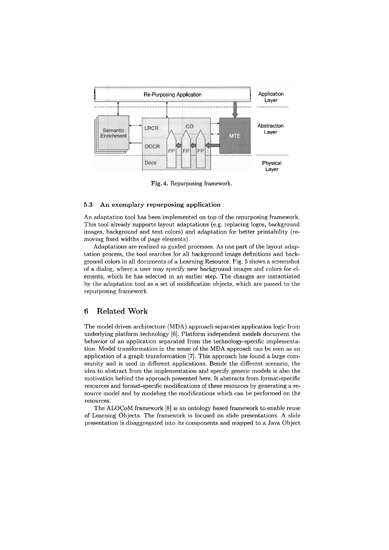

**Fig.** 4. Repurposing framework.

#### **5.3 An exemplary repurposing application**

An adaptation tool has been implemented on top of the repurposing framework. This tool already supports layout adaptations (e.g. replacing logos, background images, background and text colors) and adaptation for better printability (removing fixed widths of page elements).

Adaptations are realized as guided processes. As one part of the layout adaptation process, the tool searches for all background image definitions and background colors in all documents of a Learning Resource. Fig. 5 shows a screenshot of a dialog, where a user may specify new background images and colors for elements, which he has selected in an earlier step. The changes are instantiated by the adaptation tool as a set of modification objects, which are passed to the repurposing framework.

## **6 Related Work**

The model driven architecture (MDA) approach separates application logic from underlying platform technology [6]. Platform independent models document the behavior of an application separated from the technology-specific implementation. Model transformation in the sense of the MDA approach can be seen as an application of a graph transformation [7]. This approach has found a large community and is used in different applications. Beside the different scenario, the idea to abstract from the implementation and specify generic models is also the motivation beliind the approach presented here. It abstracts from format-specific resources and format-specific modifications of these resources by generating a resource model and by modeling the modifications which can be performed on the resources.

The ALOCoM framework [8] is an ontology based framework to enable reuse of Learning Objects. The framework is focused on slide presentations. **A** slide presentation is disaggregated into its components and mapped to a Java Object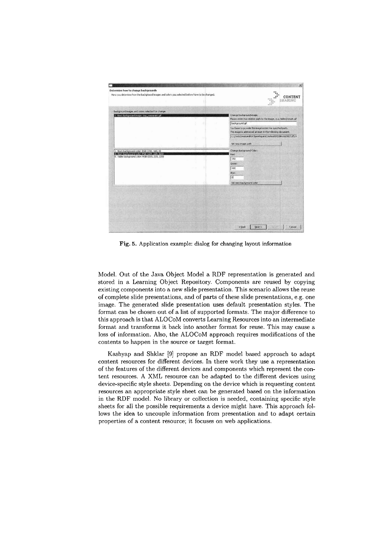

**Fig.** 5. Application example: dialog for changing layout information

Model. Out of the Java Object Model a RDF representation is generated and stored in a Learning Object Repository. Components are reused by copying existing cornponents into a new slide presentation. This scenario allows the reuse of cornplete slide presentations, and of parts of these slide presentations, e.g. one image. The generated slide presentation uses default presentation styles. The format can be chosen out of a list of supported forrnats. The major difference to this approach is that ALOCoM converts Learning Resources into an interrnediate forrnat and transforrns it back into another format for reuse. This may cause a loss of inforrnation. Also, the ALOCoM approach requires rnodifications of the contents to happen in the source or target forrnat.

Kashyap and Shklar [9] propose an RDF model based approach to adapt content resources for different devices. In there work they use a representation of the features of the different devices and cornponents which represent the content resources. A XML resource can be adapted to the different devices using device-specific style sheets. Depending on the device which is requesting content resources an appropriate style sheet can be generated based on the information in the RDF model. No library or collection is needed, containing specific style sheets for all the possible requirements a device might have. This approach follows the idea to uncouple inforrnation from presentation and to adapt certain properties of a content resource; it focuses on web applications.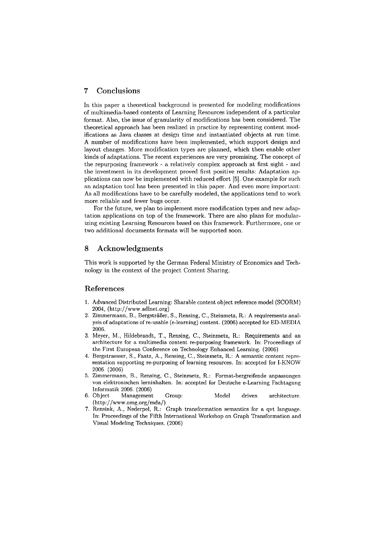### **7 Conclusions**

In this paper a theoretical background is presented for modeling modifications of inultimedia-based contents of Learning Resources independent of a particular format. Also, the issue of granularity of modifications has been considered. The theoretical approach has been realized in practice by representing content modifications as Java classes at design time and instantiated objects at run time. A number of modifications have been implemented, which support design and layout changes. More modification types are planned, which then enable other kinds of adaptations. The recent experiences are very promising. The concept of the repurposing framework - a relatively complex approach at first sight - and the investment in its development proved first positive results: Adaptation applications can now be implemented with reduced effort **[5].** One example for such an adaptation tool has been presented in this paper. And even more important: As all modifications have to be carefully modeled, the applications tend to work more reliable and fewer bugs occur.

For the future, we plan to implement more modification types and new adaptation applications on top of the framework. There are also plans for modularizing existing Learning Resources based on this framework. Furthermore, one or two additional documents formats will be supported soon.

### **8 Acknowledgments**

This work is supported by the German Federal Ministry of Economics and Technology in the context of the project Content Sharing.

### **References**

- 1. Advanced Distributed Learning: Sharable content object reference model (SCORM) 2004, (http://www.adlnet.org)
- 2. Zimmermann, B., Bergsträßer, S., Rensing, C., Steinmetz, R.: **A** requirements analysis of adaptations of re-usable (e-learning) content. (2006) accepted for ED-MEDIA 2006.
- **3.** Meyer, M., Hildebrandt, T., Rensing, C., Steinmetz, R.: Requirements and an architecture for a multimedia content re-purposing framework. In: Proceedings of the First European Conference on Technology Enhanced Learning. (2006)
- 4. Bergstraesser, S., Faatz, **A.,** Rensing, C., Steinmetz, R.: **A** semantic content representation supporting re-purposing of learning resources. In: accepted for I-KNOW 2006. (2006)
- 5. Zimmermann, B., Rensing, C., Steinmetz, R.: Format-bergreifende anpassungen von elektronischen lerninhalten. In: accepted for Deutsche e-Learning Fachtagung Informatik 2006. (2006)
- 6. Object Management Group: Model driven architecture. (http://www.omg.org/mda/)
- **7.** Rensink, A., Nederpel, R.: Graph transformation semantics for a qvt language. In: Proceedings of the Fifth International Workshop on Graph Transformation and Visual Modeling Techniques. (2006)